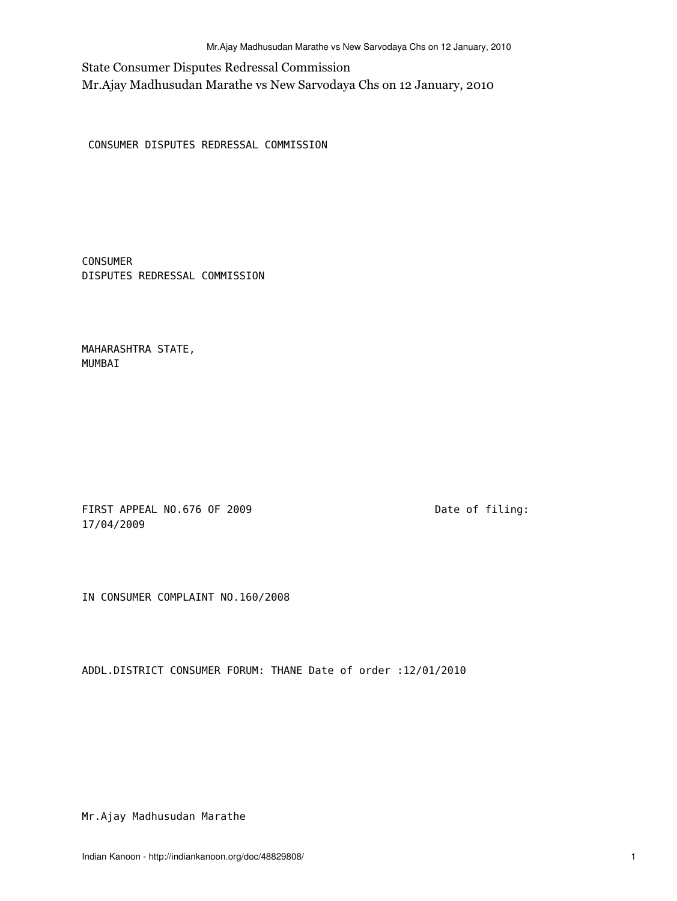State Consumer Disputes Redressal Commission Mr.Ajay Madhusudan Marathe vs New Sarvodaya Chs on 12 January, 2010

CONSUMER DISPUTES REDRESSAL COMMISSION

CONSUMER DISPUTES REDRESSAL COMMISSION

MAHARASHTRA STATE, MUMBAI

FIRST APPEAL NO.676 OF 2009 Date of filing: 17/04/2009

IN CONSUMER COMPLAINT NO.160/2008

ADDL.DISTRICT CONSUMER FORUM: THANE Date of order :12/01/2010

Mr.Ajay Madhusudan Marathe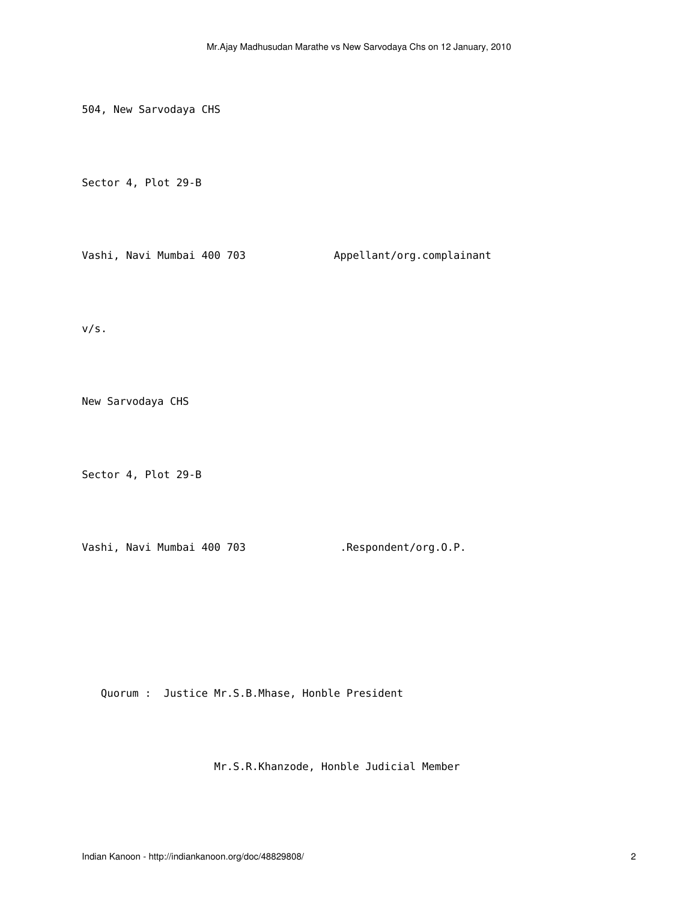504, New Sarvodaya CHS

Sector 4, Plot 29-B

Vashi, Navi Mumbai 400 703 Appellant/org.complainant

v/s.

New Sarvodaya CHS

Sector 4, Plot 29-B

Vashi, Navi Mumbai 400 703 .Respondent/org.O.P.

Quorum : Justice Mr.S.B.Mhase, Honble President

Mr.S.R.Khanzode, Honble Judicial Member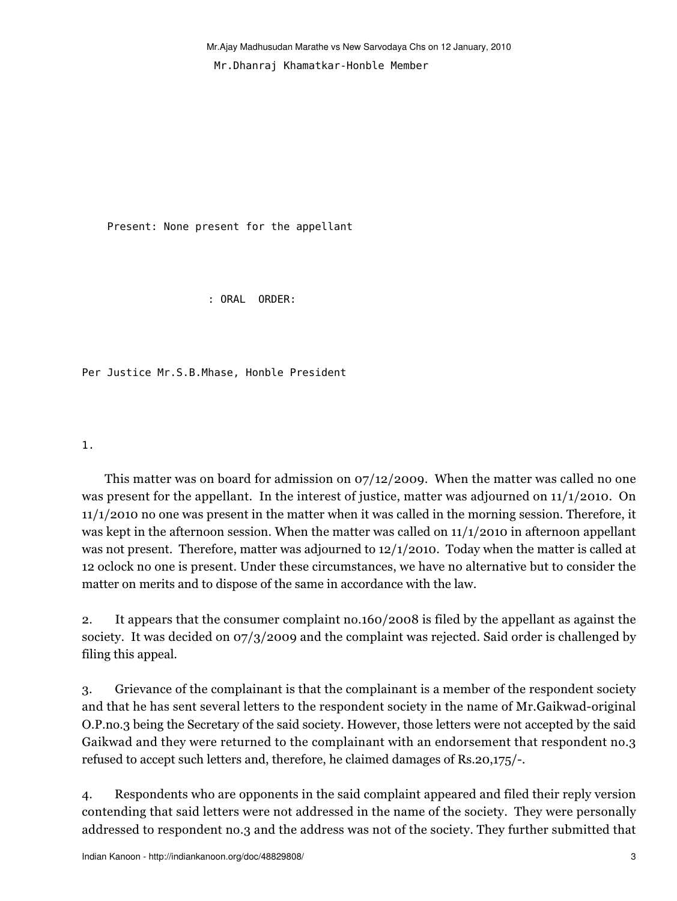Present: None present for the appellant

: ORAL ORDER:

Per Justice Mr.S.B.Mhase, Honble President

1.

 This matter was on board for admission on 07/12/2009. When the matter was called no one was present for the appellant. In the interest of justice, matter was adjourned on 11/1/2010. On 11/1/2010 no one was present in the matter when it was called in the morning session. Therefore, it was kept in the afternoon session. When the matter was called on 11/1/2010 in afternoon appellant was not present. Therefore, matter was adjourned to 12/1/2010. Today when the matter is called at 12 oclock no one is present. Under these circumstances, we have no alternative but to consider the matter on merits and to dispose of the same in accordance with the law.

2. It appears that the consumer complaint no.160/2008 is filed by the appellant as against the society. It was decided on 07/3/2009 and the complaint was rejected. Said order is challenged by filing this appeal.

3. Grievance of the complainant is that the complainant is a member of the respondent society and that he has sent several letters to the respondent society in the name of Mr.Gaikwad-original O.P.no.3 being the Secretary of the said society. However, those letters were not accepted by the said Gaikwad and they were returned to the complainant with an endorsement that respondent no.3 refused to accept such letters and, therefore, he claimed damages of Rs.20,175/-.

4. Respondents who are opponents in the said complaint appeared and filed their reply version contending that said letters were not addressed in the name of the society. They were personally addressed to respondent no.3 and the address was not of the society. They further submitted that